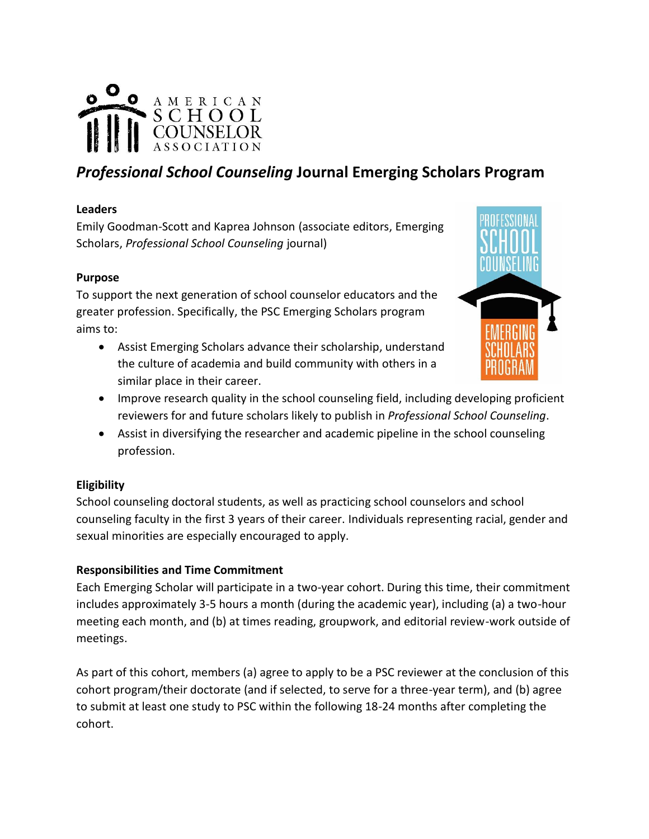

# *Professional School Counseling* **Journal Emerging Scholars Program**

# **Leaders**

Emily Goodman-Scott and Kaprea Johnson (associate editors, Emerging Scholars, *Professional School Counseling* journal)

# **Purpose**

To support the next generation of school counselor educators and the greater profession. Specifically, the PSC Emerging Scholars program aims to:

• Assist Emerging Scholars advance their scholarship, understand the culture of academia and build community with others in a similar place in their career.



- Improve research quality in the school counseling field, including developing proficient reviewers for and future scholars likely to publish in *Professional School Counseling*.
- Assist in diversifying the researcher and academic pipeline in the school counseling profession.

#### **Eligibility**

School counseling doctoral students, as well as practicing school counselors and school counseling faculty in the first 3 years of their career. Individuals representing racial, gender and sexual minorities are especially encouraged to apply.

# **Responsibilities and Time Commitment**

Each Emerging Scholar will participate in a two-year cohort. During this time, their commitment includes approximately 3-5 hours a month (during the academic year), including (a) a two-hour meeting each month, and (b) at times reading, groupwork, and editorial review-work outside of meetings.

As part of this cohort, members (a) agree to apply to be a PSC reviewer at the conclusion of this cohort program/their doctorate (and if selected, to serve for a three-year term), and (b) agree to submit at least one study to PSC within the following 18-24 months after completing the cohort.